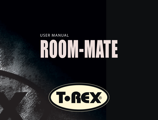# ROOM-MATE USER MANUAL

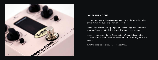

## **CONGRATULATIONS**

on your purchase of the new Room-Mate, the gold standard in tubedriven reverb for guitarists – now improved!

Room-Mate marries cutting-edge digital technology and superior analogue craftsmanship to deliver a superb vintage reverb sound.

In this second generation of Room-Mate, we've added expanded controls and a brilliant new spring reverb mode to our original reverb classic.

Turn the page for an overview of the controls.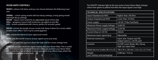# **ROOM-MATE CONTROLS**

**MODE** is where it all starts, and you can choose between the following 4 presets:

**SPRING** – a short spring reverb with low decay settings, a long spring reverb with high decay settings.

**ROOM** – classic room reverb for an adjustable touch of live vibe. **HALL** – gorgeous concert hall reverb you can adjust as you like. LFO – reverb embellished with chorus, perfect for acoustic quitar.

**DECAY** controls the length of your reverb trail. Keep it down for a more subtle, smaller-room effect. Turn it up to sound gigantic!

**MIX** controls the blend of clean signal and reverb.

**LEVEL** sets the overall volume of your signal out to your amp.

The **HICUT** knob lets you turn down the high end for a more vintage tone.

**GAIN** lets you turn down the signal coming into your Room-Mate. This is useful for eliminating input overload distortion when you position your Room-Mate at the end of a chain of effects or when you use it in an effects loop, where the signal from you amp is very loud.

The ON/OFF indicator light at the top centre of your Room-Mate changes colour from green to yellow/red when the input signal is too high.

| <b>TECHNICAL SPECIFICATIONS</b>         |                                                              |
|-----------------------------------------|--------------------------------------------------------------|
| Input Impedance@1KHz                    | Higher than 1M Ohm                                           |
| Output Impedance@1KHZ                   | Lower than 1K Ohm                                            |
| Power supply                            | 12V DC (T-Rex FuelTank)                                      |
| Minimum Power supply Voltage            | 10,8V DC                                                     |
| Maximum Power supply Voltage            | 12,5V DC                                                     |
| Current Draw @ 12V DC                   | 330 <sub>m</sub> A                                           |
| Maximum Input signal Vp/p               | Adjustable                                                   |
| <b>External connectors</b>              | Input Jack. Output Jack (R),<br>Output Jack (L), 12V DC jack |
| Controls                                | On/Off, Level, Mode, Mix, Decay,<br>High cut, Input Gain     |
| Pedal size incl. knobs (W x H x D)      | 100 x 55 x 120 mm / 3,9 x 2,2 x 4,7 inch                     |
| Weight<br>(excl. battery and packaging) | 0,380 kg / 13,4 oz                                           |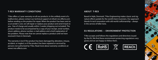## **T-REX WARRANTY CONDITIONS**

T-Rex offers a 2-year warranty on all our products. In the unlikely event of a malfunction, please contact our technical support at info@t-rex-effects.com before sending us the product for repair. When the product has been sent to us at sender's cost, we will repair or replace your product and send it back to you - free of charge and usually within 3 weeks (shipping not included). The product needs to be accompanied by a copy of your receipt, serial number, return address, phone number, e-mail address and a brief explanation of the problem. Please note that we cannot replace a product until we have received it here in Denmark.

The warranty is lost if the product has been damaged by alteration, misuse, accident, or neglect; or if the product has been repaired or serviced by persons not authorized by T-Rex. Read more about warranty conditions at **RoHS ROHS REACH** 

#### **ABOUT T-REX**

Based in Vejle, Denmark, T-Rex Engineering makes classic and signature effects pedals for the world's best musicians. Our approach blends hi-tech innovation with old-world craftsmanship – always in the service of killer tone.

### **EU REGULATIONS • ENVIRONMENT PROTECTION**

T-Rex accepts and follows the regulations and directives issued by the EU. We find these environment protecting regulations very good, and we are happy to follow them.